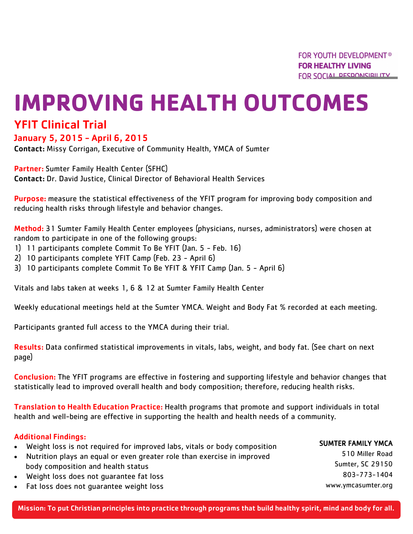# **IMPROVING HEALTH OUTCOMES**

## YFIT Clinical Trial

#### January 5, 2015 - April 6, 2015

Contact: Missy Corrigan, Executive of Community Health, YMCA of Sumter

Partner: Sumter Family Health Center (SFHC) Contact: Dr. David Justice, Clinical Director of Behavioral Health Services

Purpose: measure the statistical effectiveness of the YFIT program for improving body composition and reducing health risks through lifestyle and behavior changes.

Method: 31 Sumter Family Health Center employees (physicians, nurses, administrators) were chosen at random to participate in one of the following groups:

- 1) 11 participants complete Commit To Be YFIT (Jan. 5 Feb. 16)
- 2) 10 participants complete YFIT Camp (Feb. 23 April 6)
- 3) 10 participants complete Commit To Be YFIT & YFIT Camp (Jan. 5 April 6)

Vitals and labs taken at weeks 1, 6 & 12 at Sumter Family Health Center

Weekly educational meetings held at the Sumter YMCA. Weight and Body Fat % recorded at each meeting.

Participants granted full access to the YMCA during their trial.

Results: Data confirmed statistical improvements in vitals, labs, weight, and body fat. (See chart on next page)

Conclusion: The YFIT programs are effective in fostering and supporting lifestyle and behavior changes that statistically lead to improved overall health and body composition; therefore, reducing health risks.

Translation to Health Education Practice: Health programs that promote and support individuals in total health and well-being are effective in supporting the health and health needs of a community.

#### Additional Findings:

- Weight loss is not required for improved labs, vitals or body composition
- Nutrition plays an equal or even greater role than exercise in improved body composition and health status
- Weight loss does not guarantee fat loss
- Fat loss does not guarantee weight loss

SUMTER FAMILY YMCA

510 Miller Road Sumter, SC 29150 803-773-1404 www.ymcasumter.org

Mission: To put Christian principles into practice through programs that build healthy spirit, mind and body for all.